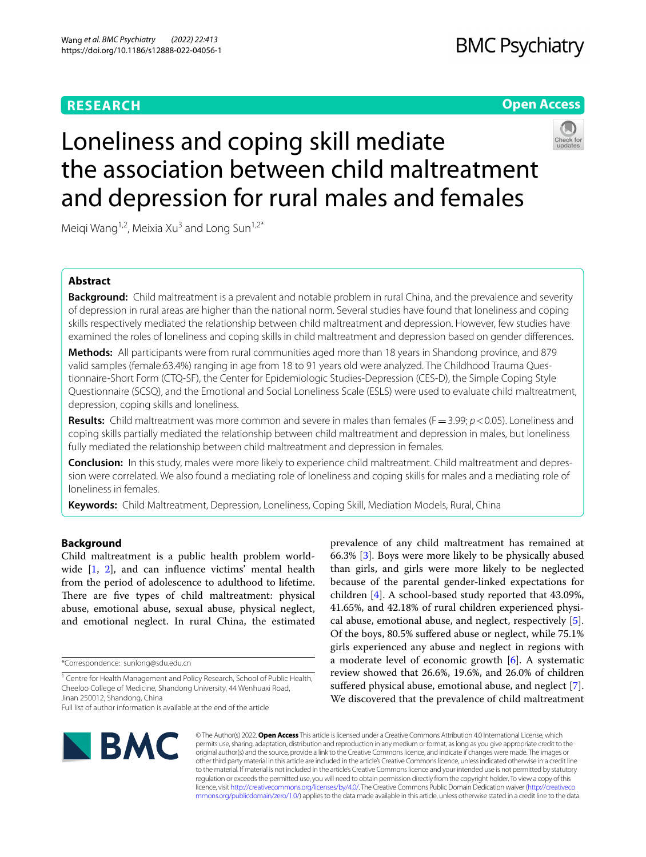## **RESEARCH**

## **BMC Psychiatry**

## **Open Access**



# Loneliness and coping skill mediate the association between child maltreatment and depression for rural males and females

Meigi Wang<sup>1,2</sup>, Meixia Xu<sup>3</sup> and Long Sun<sup>1,2\*</sup>

## **Abstract**

**Background:** Child maltreatment is a prevalent and notable problem in rural China, and the prevalence and severity of depression in rural areas are higher than the national norm. Several studies have found that loneliness and coping skills respectively mediated the relationship between child maltreatment and depression. However, few studies have examined the roles of loneliness and coping skills in child maltreatment and depression based on gender diferences.

**Methods:** All participants were from rural communities aged more than 18 years in Shandong province, and 879 valid samples (female:63.4%) ranging in age from 18 to 91 years old were analyzed. The Childhood Trauma Questionnaire-Short Form (CTQ-SF), the Center for Epidemiologic Studies-Depression (CES-D), the Simple Coping Style Questionnaire (SCSQ), and the Emotional and Social Loneliness Scale (ESLS) were used to evaluate child maltreatment, depression, coping skills and loneliness.

**Results:** Child maltreatment was more common and severe in males than females (F=3.99; *p*<0.05). Loneliness and coping skills partially mediated the relationship between child maltreatment and depression in males, but loneliness fully mediated the relationship between child maltreatment and depression in females.

**Conclusion:** In this study, males were more likely to experience child maltreatment. Child maltreatment and depression were correlated. We also found a mediating role of loneliness and coping skills for males and a mediating role of loneliness in females.

**Keywords:** Child Maltreatment, Depression, Loneliness, Coping Skill, Mediation Models, Rural, China

## **Background**

Child maltreatment is a public health problem worldwide [\[1](#page-7-0), [2\]](#page-7-1), and can infuence victims' mental health from the period of adolescence to adulthood to lifetime. There are five types of child maltreatment: physical abuse, emotional abuse, sexual abuse, physical neglect, and emotional neglect. In rural China, the estimated





© The Author(s) 2022. **Open Access** This article is licensed under a Creative Commons Attribution 4.0 International License, which permits use, sharing, adaptation, distribution and reproduction in any medium or format, as long as you give appropriate credit to the original author(s) and the source, provide a link to the Creative Commons licence, and indicate if changes were made. The images or other third party material in this article are included in the article's Creative Commons licence, unless indicated otherwise in a credit line to the material. If material is not included in the article's Creative Commons licence and your intended use is not permitted by statutory regulation or exceeds the permitted use, you will need to obtain permission directly from the copyright holder. To view a copy of this licence, visit [http://creativecommons.org/licenses/by/4.0/.](http://creativecommons.org/licenses/by/4.0/) The Creative Commons Public Domain Dedication waiver ([http://creativeco](http://creativecommons.org/publicdomain/zero/1.0/) [mmons.org/publicdomain/zero/1.0/](http://creativecommons.org/publicdomain/zero/1.0/)) applies to the data made available in this article, unless otherwise stated in a credit line to the data.

<sup>\*</sup>Correspondence: sunlong@sdu.edu.cn

<sup>&</sup>lt;sup>1</sup> Centre for Health Management and Policy Research, School of Public Health, Cheeloo College of Medicine, Shandong University, 44 Wenhuaxi Road, Jinan 250012, Shandong, China

Full list of author information is available at the end of the article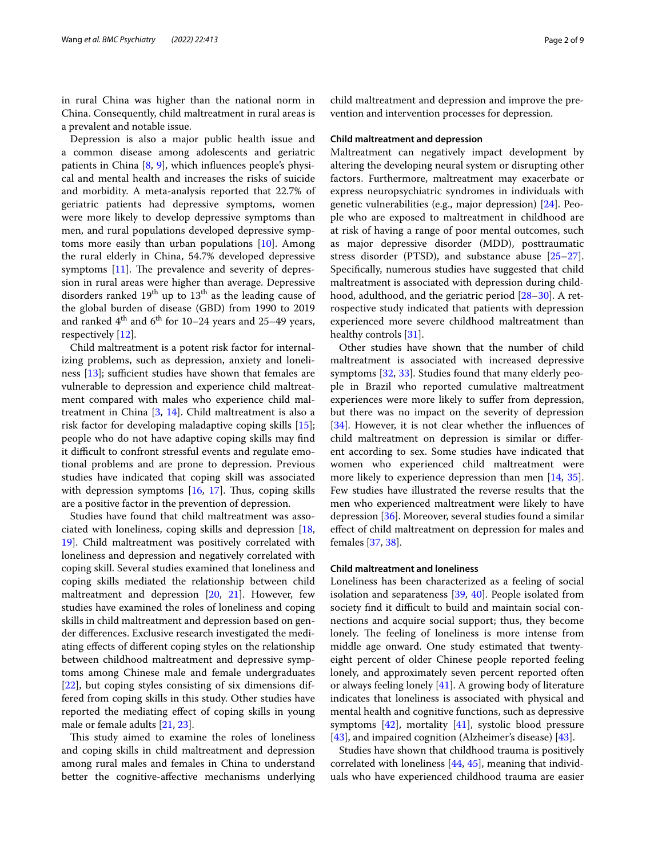in rural China was higher than the national norm in China. Consequently, child maltreatment in rural areas is a prevalent and notable issue.

Depression is also a major public health issue and a common disease among adolescents and geriatric patients in China [\[8](#page-7-7), [9](#page-7-8)], which infuences people's physical and mental health and increases the risks of suicide and morbidity. A meta-analysis reported that 22.7% of geriatric patients had depressive symptoms, women were more likely to develop depressive symptoms than men, and rural populations developed depressive symptoms more easily than urban populations [[10](#page-7-9)]. Among the rural elderly in China, 54.7% developed depressive symptoms  $[11]$ . The prevalence and severity of depression in rural areas were higher than average. Depressive disorders ranked  $19<sup>th</sup>$  up to  $13<sup>th</sup>$  as the leading cause of the global burden of disease (GBD) from 1990 to 2019 and ranked  $4<sup>th</sup>$  and  $6<sup>th</sup>$  for 10–24 years and 25–49 years, respectively [[12](#page-7-11)].

Child maltreatment is a potent risk factor for internalizing problems, such as depression, anxiety and loneliness  $[13]$  $[13]$ ; sufficient studies have shown that females are vulnerable to depression and experience child maltreatment compared with males who experience child maltreatment in China [\[3,](#page-7-2) [14](#page-7-13)]. Child maltreatment is also a risk factor for developing maladaptive coping skills [\[15](#page-7-14)]; people who do not have adaptive coping skills may fnd it difficult to confront stressful events and regulate emotional problems and are prone to depression. Previous studies have indicated that coping skill was associated with depression symptoms  $[16, 17]$  $[16, 17]$  $[16, 17]$  $[16, 17]$ . Thus, coping skills are a positive factor in the prevention of depression.

Studies have found that child maltreatment was associated with loneliness, coping skills and depression [\[18](#page-7-17), [19\]](#page-7-18). Child maltreatment was positively correlated with loneliness and depression and negatively correlated with coping skill. Several studies examined that loneliness and coping skills mediated the relationship between child maltreatment and depression [[20](#page-7-19), [21](#page-7-20)]. However, few studies have examined the roles of loneliness and coping skills in child maltreatment and depression based on gender diferences. Exclusive research investigated the mediating efects of diferent coping styles on the relationship between childhood maltreatment and depressive symptoms among Chinese male and female undergraduates [[22\]](#page-8-0), but coping styles consisting of six dimensions differed from coping skills in this study. Other studies have reported the mediating efect of coping skills in young male or female adults [[21](#page-7-20), [23\]](#page-8-1).

This study aimed to examine the roles of loneliness and coping skills in child maltreatment and depression among rural males and females in China to understand better the cognitive-afective mechanisms underlying child maltreatment and depression and improve the prevention and intervention processes for depression.

#### **Child maltreatment and depression**

Maltreatment can negatively impact development by altering the developing neural system or disrupting other factors. Furthermore, maltreatment may exacerbate or express neuropsychiatric syndromes in individuals with genetic vulnerabilities (e.g., major depression) [\[24](#page-8-2)]. People who are exposed to maltreatment in childhood are at risk of having a range of poor mental outcomes, such as major depressive disorder (MDD), posttraumatic stress disorder (PTSD), and substance abuse [[25](#page-8-3)[–27](#page-8-4)]. Specifcally, numerous studies have suggested that child maltreatment is associated with depression during childhood, adulthood, and the geriatric period [[28](#page-8-5)[–30](#page-8-6)]. A retrospective study indicated that patients with depression experienced more severe childhood maltreatment than healthy controls [[31\]](#page-8-7).

Other studies have shown that the number of child maltreatment is associated with increased depressive symptoms [[32,](#page-8-8) [33\]](#page-8-9). Studies found that many elderly people in Brazil who reported cumulative maltreatment experiences were more likely to sufer from depression, but there was no impact on the severity of depression [[34\]](#page-8-10). However, it is not clear whether the influences of child maltreatment on depression is similar or diferent according to sex. Some studies have indicated that women who experienced child maltreatment were more likely to experience depression than men [[14,](#page-7-13) [35](#page-8-11)]. Few studies have illustrated the reverse results that the men who experienced maltreatment were likely to have depression [\[36](#page-8-12)]. Moreover, several studies found a similar efect of child maltreatment on depression for males and females [\[37,](#page-8-13) [38](#page-8-14)].

#### **Child maltreatment and loneliness**

Loneliness has been characterized as a feeling of social isolation and separateness [\[39](#page-8-15), [40](#page-8-16)]. People isolated from society find it difficult to build and maintain social connections and acquire social support; thus, they become lonely. The feeling of loneliness is more intense from middle age onward. One study estimated that twentyeight percent of older Chinese people reported feeling lonely, and approximately seven percent reported often or always feeling lonely [[41\]](#page-8-17). A growing body of literature indicates that loneliness is associated with physical and mental health and cognitive functions, such as depressive symptoms  $[42]$  $[42]$ , mortality  $[41]$  $[41]$ , systolic blood pressure [[43\]](#page-8-19), and impaired cognition (Alzheimer's disease) [\[43\]](#page-8-19).

Studies have shown that childhood trauma is positively correlated with loneliness [\[44](#page-8-20), [45\]](#page-8-21), meaning that individuals who have experienced childhood trauma are easier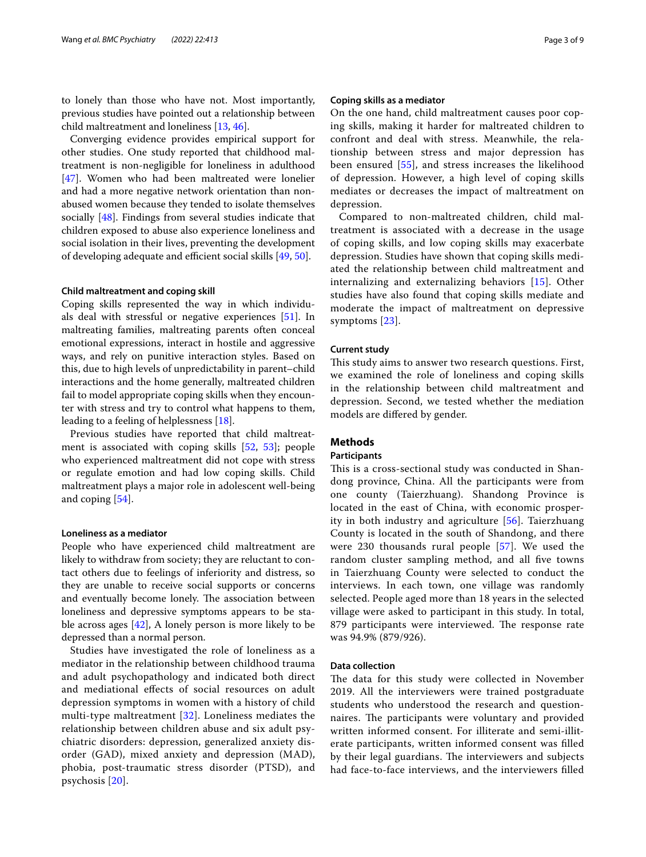to lonely than those who have not. Most importantly, previous studies have pointed out a relationship between child maltreatment and loneliness [[13](#page-7-12), [46\]](#page-8-22).

Converging evidence provides empirical support for other studies. One study reported that childhood maltreatment is non-negligible for loneliness in adulthood [[47\]](#page-8-23). Women who had been maltreated were lonelier and had a more negative network orientation than nonabused women because they tended to isolate themselves socially [[48\]](#page-8-24). Findings from several studies indicate that children exposed to abuse also experience loneliness and social isolation in their lives, preventing the development of developing adequate and efficient social skills [\[49](#page-8-25), [50](#page-8-26)].

#### **Child maltreatment and coping skill**

Coping skills represented the way in which individuals deal with stressful or negative experiences [\[51\]](#page-8-27). In maltreating families, maltreating parents often conceal emotional expressions, interact in hostile and aggressive ways, and rely on punitive interaction styles. Based on this, due to high levels of unpredictability in parent–child interactions and the home generally, maltreated children fail to model appropriate coping skills when they encounter with stress and try to control what happens to them, leading to a feeling of helplessness [\[18](#page-7-17)].

Previous studies have reported that child maltreatment is associated with coping skills [[52,](#page-8-28) [53\]](#page-8-29); people who experienced maltreatment did not cope with stress or regulate emotion and had low coping skills. Child maltreatment plays a major role in adolescent well-being and coping [[54\]](#page-8-30).

#### **Loneliness as a mediator**

People who have experienced child maltreatment are likely to withdraw from society; they are reluctant to contact others due to feelings of inferiority and distress, so they are unable to receive social supports or concerns and eventually become lonely. The association between loneliness and depressive symptoms appears to be stable across ages [\[42\]](#page-8-18), A lonely person is more likely to be depressed than a normal person.

Studies have investigated the role of loneliness as a mediator in the relationship between childhood trauma and adult psychopathology and indicated both direct and mediational efects of social resources on adult depression symptoms in women with a history of child multi-type maltreatment [[32](#page-8-8)]. Loneliness mediates the relationship between children abuse and six adult psychiatric disorders: depression, generalized anxiety disorder (GAD), mixed anxiety and depression (MAD), phobia, post-traumatic stress disorder (PTSD), and psychosis [[20\]](#page-7-19).

#### **Coping skills as a mediator**

On the one hand, child maltreatment causes poor coping skills, making it harder for maltreated children to confront and deal with stress. Meanwhile, the relationship between stress and major depression has been ensured [[55\]](#page-8-31), and stress increases the likelihood of depression. However, a high level of coping skills mediates or decreases the impact of maltreatment on depression.

Compared to non-maltreated children, child maltreatment is associated with a decrease in the usage of coping skills, and low coping skills may exacerbate depression. Studies have shown that coping skills mediated the relationship between child maltreatment and internalizing and externalizing behaviors [[15\]](#page-7-14). Other studies have also found that coping skills mediate and moderate the impact of maltreatment on depressive symptoms [[23\]](#page-8-1).

#### **Current study**

This study aims to answer two research questions. First, we examined the role of loneliness and coping skills in the relationship between child maltreatment and depression. Second, we tested whether the mediation models are difered by gender.

#### **Methods**

#### **Participants**

This is a cross-sectional study was conducted in Shandong province, China. All the participants were from one county (Taierzhuang). Shandong Province is located in the east of China, with economic prosperity in both industry and agriculture [[56](#page-8-32)]. Taierzhuang County is located in the south of Shandong, and there were 230 thousands rural people [[57\]](#page-8-33). We used the random cluster sampling method, and all fve towns in Taierzhuang County were selected to conduct the interviews. In each town, one village was randomly selected. People aged more than 18 years in the selected village were asked to participant in this study. In total, 879 participants were interviewed. The response rate was 94.9% (879/926).

#### **Data collection**

The data for this study were collected in November 2019. All the interviewers were trained postgraduate students who understood the research and questionnaires. The participants were voluntary and provided written informed consent. For illiterate and semi-illiterate participants, written informed consent was flled by their legal guardians. The interviewers and subjects had face-to-face interviews, and the interviewers flled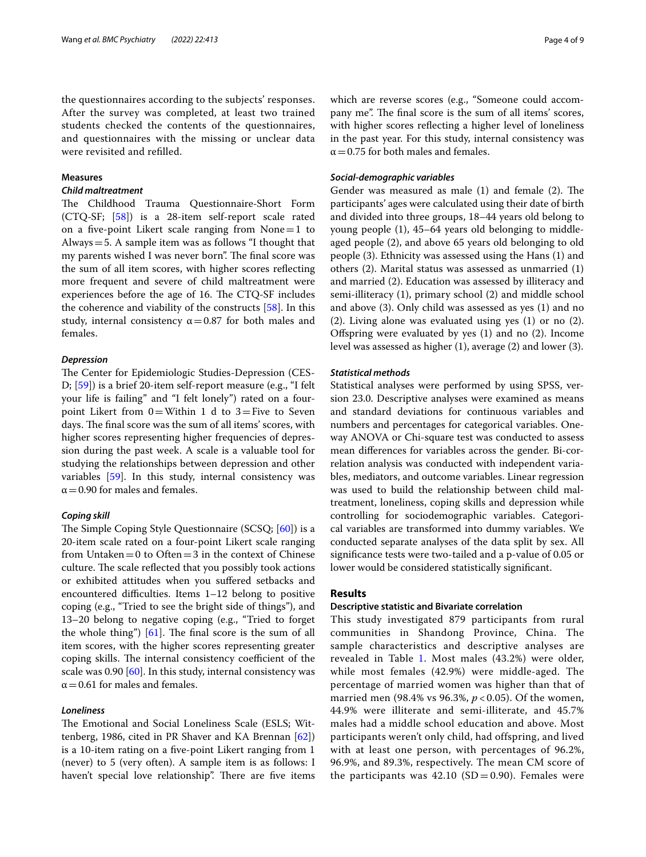the questionnaires according to the subjects' responses. After the survey was completed, at least two trained students checked the contents of the questionnaires, and questionnaires with the missing or unclear data were revisited and reflled.

#### **Measures**

#### *Child maltreatment*

The Childhood Trauma Questionnaire-Short Form (CTQ-SF; [\[58](#page-8-34)]) is a 28-item self-report scale rated on a five-point Likert scale ranging from  $None = 1$  to Always=5. A sample item was as follows "I thought that my parents wished I was never born". The final score was the sum of all item scores, with higher scores refecting more frequent and severe of child maltreatment were experiences before the age of 16. The CTQ-SF includes the coherence and viability of the constructs [[58\]](#page-8-34). In this study, internal consistency  $\alpha$  = 0.87 for both males and females.

#### *Depression*

The Center for Epidemiologic Studies-Depression (CES-D; [[59\]](#page-8-35)) is a brief 20-item self-report measure (e.g., "I felt your life is failing" and "I felt lonely") rated on a fourpoint Likert from  $0=$  Within 1 d to 3 = Five to Seven days. The final score was the sum of all items' scores, with higher scores representing higher frequencies of depression during the past week. A scale is a valuable tool for studying the relationships between depression and other variables [\[59](#page-8-35)]. In this study, internal consistency was  $\alpha$  = 0.90 for males and females.

#### *Coping skill*

The Simple Coping Style Questionnaire  $(SCSQ; [60])$  $(SCSQ; [60])$  $(SCSQ; [60])$  is a 20-item scale rated on a four-point Likert scale ranging from Untaken $=0$  to Often $=3$  in the context of Chinese culture. The scale reflected that you possibly took actions or exhibited attitudes when you sufered setbacks and encountered difficulties. Items  $1-12$  belong to positive coping (e.g., "Tried to see the bright side of things"), and 13–20 belong to negative coping (e.g., "Tried to forget the whole thing")  $[61]$  $[61]$ . The final score is the sum of all item scores, with the higher scores representing greater coping skills. The internal consistency coefficient of the scale was 0.90 [\[60\]](#page-8-36). In this study, internal consistency was  $\alpha$  = 0.61 for males and females.

#### *Loneliness*

The Emotional and Social Loneliness Scale (ESLS; Wittenberg, 1986, cited in PR Shaver and KA Brennan [\[62](#page-8-38)]) is a 10-item rating on a fve-point Likert ranging from 1 (never) to 5 (very often). A sample item is as follows: I haven't special love relationship". There are five items which are reverse scores (e.g., "Someone could accompany me". The final score is the sum of all items' scores, with higher scores refecting a higher level of loneliness in the past year. For this study, internal consistency was  $\alpha$  = 0.75 for both males and females.

#### *Social‑demographic variables*

Gender was measured as male  $(1)$  and female  $(2)$ . The participants' ages were calculated using their date of birth and divided into three groups, 18–44 years old belong to young people (1), 45–64 years old belonging to middleaged people (2), and above 65 years old belonging to old people (3). Ethnicity was assessed using the Hans (1) and others (2). Marital status was assessed as unmarried (1) and married (2). Education was assessed by illiteracy and semi-illiteracy (1), primary school (2) and middle school and above (3). Only child was assessed as yes (1) and no (2). Living alone was evaluated using yes (1) or no (2). Ofspring were evaluated by yes (1) and no (2). Income level was assessed as higher (1), average (2) and lower (3).

#### *Statistical methods*

Statistical analyses were performed by using SPSS, version 23.0. Descriptive analyses were examined as means and standard deviations for continuous variables and numbers and percentages for categorical variables. Oneway ANOVA or Chi-square test was conducted to assess mean diferences for variables across the gender. Bi-correlation analysis was conducted with independent variables, mediators, and outcome variables. Linear regression was used to build the relationship between child maltreatment, loneliness, coping skills and depression while controlling for sociodemographic variables. Categorical variables are transformed into dummy variables. We conducted separate analyses of the data split by sex. All signifcance tests were two-tailed and a p-value of 0.05 or lower would be considered statistically signifcant.

#### **Results**

#### **Descriptive statistic and Bivariate correlation**

This study investigated 879 participants from rural communities in Shandong Province, China. The sample characteristics and descriptive analyses are revealed in Table [1](#page-4-0). Most males (43.2%) were older, while most females (42.9%) were middle-aged. The percentage of married women was higher than that of married men (98.4% vs 96.3%, *p* < 0.05). Of the women, 44.9% were illiterate and semi-illiterate, and 45.7% males had a middle school education and above. Most participants weren't only child, had offspring, and lived with at least one person, with percentages of 96.2%, 96.9%, and 89.3%, respectively. The mean CM score of the participants was  $42.10$  (SD = 0.90). Females were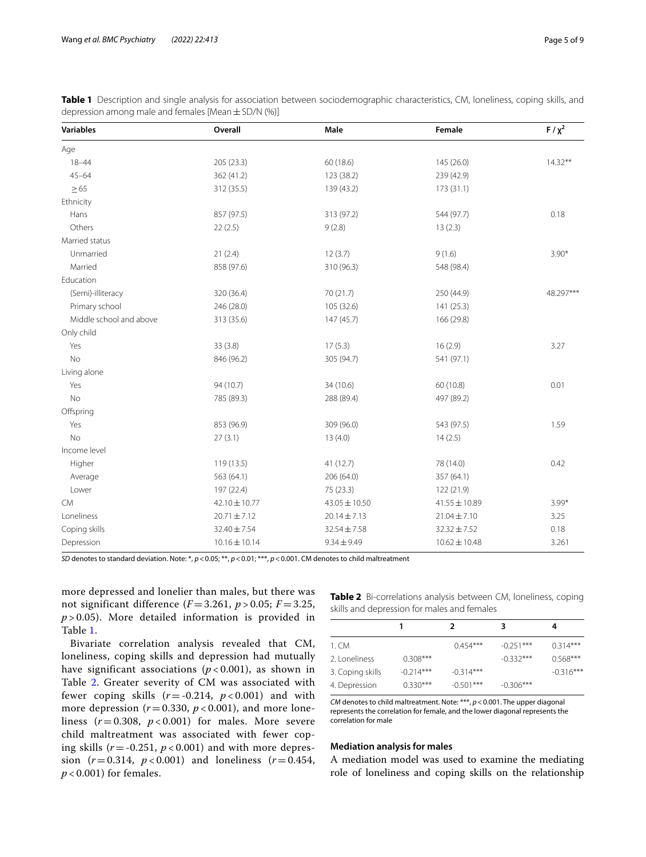| <b>Variables</b>        | Overall           | Male              | Female            | $F / \chi^2$ |  |
|-------------------------|-------------------|-------------------|-------------------|--------------|--|
| Age                     |                   |                   |                   |              |  |
| $18 - 44$               | 205 (23.3)        | 60 (18.6)         | 145 (26.0)        | $14.32**$    |  |
| $45 - 64$               | 362 (41.2)        | 123 (38.2)        | 239 (42.9)        |              |  |
| $\geq 65$               | 312 (35.5)        | 139 (43.2)        | 173(31.1)         |              |  |
| Ethnicity               |                   |                   |                   |              |  |
| Hans                    | 857 (97.5)        | 313 (97.2)        | 544 (97.7)        | 0.18         |  |
| Others                  | 22(2.5)           | 9(2.8)            | 13(2.3)           |              |  |
| Married status          |                   |                   |                   |              |  |
| Unmarried               | 21(2.4)           | 12(3.7)           | 9(1.6)            | $3.90*$      |  |
| Married                 | 858 (97.6)        | 310 (96.3)        | 548 (98.4)        |              |  |
| Education               |                   |                   |                   |              |  |
| (Semi)-illiteracy       | 320 (36.4)        | 70 (21.7)         | 250 (44.9)        | 48.297***    |  |
| Primary school          | 246 (28.0)        | 105 (32.6)        | 141 (25.3)        |              |  |
| Middle school and above | 313 (35.6)        | 147 (45.7)        | 166 (29.8)        |              |  |
| Only child              |                   |                   |                   |              |  |
| Yes                     | 33 (3.8)          | 17(5.3)           | 16(2.9)           | 3.27         |  |
| <b>No</b>               | 846 (96.2)        | 305 (94.7)        | 541 (97.1)        |              |  |
| Living alone            |                   |                   |                   |              |  |
| Yes                     | 94 (10.7)         | 34 (10.6)         | 60 (10.8)         | 0.01         |  |
| <b>No</b>               | 785 (89.3)        | 288 (89.4)        | 497 (89.2)        |              |  |
| Offspring               |                   |                   |                   |              |  |
| Yes                     | 853 (96.9)        | 309 (96.0)        | 543 (97.5)        | 1.59         |  |
| <b>No</b>               | 27(3.1)           | 13(4.0)           | 14(2.5)           |              |  |
| Income level            |                   |                   |                   |              |  |
| Higher                  | 119 (13.5)        | 41 (12.7)         | 78 (14.0)         | 0.42         |  |
| Average                 | 563 (64.1)        | 206 (64.0)        | 357 (64.1)        |              |  |
| Lower                   | 197 (22.4)        | 75 (23.3)         | 122 (21.9)        |              |  |
| <b>CM</b>               | 42.10 ± 10.77     | $43.05 \pm 10.50$ | $41.55 \pm 10.89$ | $3.99*$      |  |
| Loneliness              | $20.71 \pm 7.12$  | $20.14 \pm 7.13$  | $21.04 \pm 7.10$  | 3.25         |  |
| Coping skills           | 32.40 ± 7.54      | $32.54 \pm 7.58$  | $32.32 \pm 7.52$  | 0.18         |  |
| Depression              | $10.16 \pm 10.14$ | $9.34 \pm 9.49$   | $10.62 \pm 10.48$ | 3.261        |  |

<span id="page-4-0"></span>**Table 1** Description and single analysis for association between sociodemographic characteristics, CM, loneliness, coping skills, and depression among male and females [Mean  $\pm$  SD/N (%)]

*SD* denotes to standard deviation. Note: \*, *p*<0.05; \*\*, *p*<0.01; \*\*\*, *p*<0.001. CM denotes to child maltreatment

more depressed and lonelier than males, but there was not significant difference  $(F = 3.261, p > 0.05; F = 3.25,$  $p > 0.05$ ). More detailed information is provided in Table [1](#page-4-0).

Bivariate correlation analysis revealed that CM, loneliness, coping skills and depression had mutually have significant associations  $(p < 0.001)$ , as shown in Table [2](#page-4-1). Greater severity of CM was associated with fewer coping skills  $(r = -0.214, p < 0.001)$  and with more depression ( $r = 0.330$ ,  $p < 0.001$ ), and more loneliness  $(r=0.308, p<0.001)$  for males. More severe child maltreatment was associated with fewer coping skills  $(r = -0.251, p < 0.001)$  and with more depression ( $r = 0.314$ ,  $p < 0.001$ ) and loneliness ( $r = 0.454$ , *p* < 0.001) for females.

<span id="page-4-1"></span>

| <b>Table 2</b> Bi-correlations analysis between CM, loneliness, coping |  |  |  |
|------------------------------------------------------------------------|--|--|--|
| skills and depression for males and females                            |  |  |  |

|             | 2           |             | 4           |
|-------------|-------------|-------------|-------------|
|             | $0.454***$  | $-0.251***$ | $0.314***$  |
| $0.308***$  |             | $-0.332***$ | $0.568***$  |
| $-0.214***$ | $-0.314***$ |             | $-0.316***$ |
| $0.330***$  | $-0.501***$ | $-0.306***$ |             |
|             |             |             |             |

*CM* denotes to child maltreatment. Note: \*\*\*, *p*<0.001. The upper diagonal represents the correlation for female, and the lower diagonal represents the correlation for male

#### **Mediation analysis for males**

A mediation model was used to examine the mediating role of loneliness and coping skills on the relationship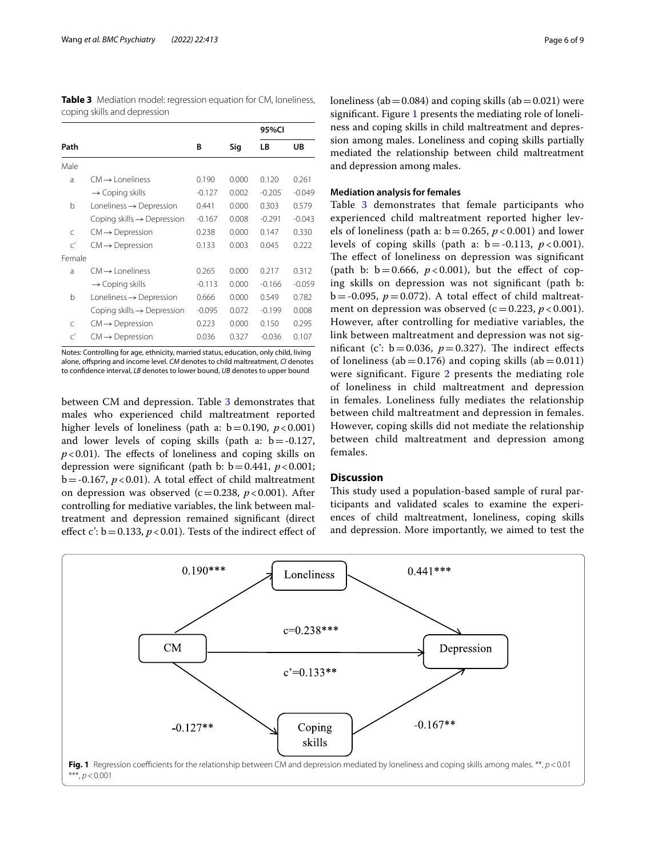|                                        |          |       | 95%CI    |          |
|----------------------------------------|----------|-------|----------|----------|
| Path                                   |          | Sig   | LB       | UB       |
|                                        |          |       |          |          |
| $CM \rightarrow$   oneliness           | 0.190    | 0.000 | 0.120    | 0.261    |
| $\rightarrow$ Coping skills            | $-0.127$ | 0.002 | $-0.205$ | $-0.049$ |
| Loneliness $\rightarrow$ Depression    | 0.441    | 0.000 | 0.303    | 0.579    |
| Coping skills $\rightarrow$ Depression | $-0.167$ | 0.008 | $-0.291$ | $-0.043$ |
| $CM \rightarrow$ Depression            | 0.238    | 0.000 | 0.147    | 0.330    |
| $CM \rightarrow$ Depression            | 0.133    | 0.003 | 0.045    | 0.222    |
|                                        |          |       |          |          |
| $CM \rightarrow$   oneliness           | 0.265    | 0.000 | 0.217    | 0.312    |
| $\rightarrow$ Coping skills            | $-0.113$ | 0.000 | $-0.166$ | $-0.059$ |
| Loneliness $\rightarrow$ Depression    | 0.666    | 0.000 | 0.549    | 0.782    |
| Coping skills $\rightarrow$ Depression | $-0.095$ | 0.072 | $-0.199$ | 0.008    |
| $CM \rightarrow$ Depression            | 0.223    | 0.000 | 0.150    | 0.295    |
| $CM \rightarrow$ Depression            | 0.036    | 0.327 | $-0.036$ | 0.107    |
|                                        |          | В     |          |          |

<span id="page-5-0"></span>**Table 3** Mediation model: regression equation for CM, loneliness, coping skills and depression

Notes: Controlling for age, ethnicity, married status, education, only child, living alone, ofspring and income level. *CM* denotes to child maltreatment, *CI* denotes to confdence interval, *LB* denotes to lower bound, *UB* denotes to upper bound

between CM and depression. Table [3](#page-5-0) demonstrates that males who experienced child maltreatment reported higher levels of loneliness (path a:  $b = 0.190$ ,  $p < 0.001$ ) and lower levels of coping skills (path a:  $b = -0.127$ ,  $p$ <0.01). The effects of loneliness and coping skills on depression were significant (path b:  $b = 0.441$ ,  $p < 0.001$ ;  $b = -0.167$ ,  $p < 0.01$ ). A total effect of child maltreatment on depression was observed  $(c=0.238, p<0.001)$ . After controlling for mediative variables, the link between maltreatment and depression remained signifcant (direct effect c':  $b = 0.133$ ,  $p < 0.01$ ). Tests of the indirect effect of loneliness (ab  $= 0.084$ ) and coping skills (ab  $= 0.021$ ) were signifcant. Figure [1](#page-5-1) presents the mediating role of loneliness and coping skills in child maltreatment and depression among males. Loneliness and coping skills partially mediated the relationship between child maltreatment and depression among males.

#### **Mediation analysis for females**

Table [3](#page-5-0) demonstrates that female participants who experienced child maltreatment reported higher levels of loneliness (path a:  $b = 0.265$ ,  $p < 0.001$ ) and lower levels of coping skills (path a:  $b = -0.113$ ,  $p < 0.001$ ). The effect of loneliness on depression was significant (path b:  $b = 0.666$ ,  $p < 0.001$ ), but the effect of coping skills on depression was not signifcant (path b:  $b = -0.095$ ,  $p = 0.072$ ). A total effect of child maltreatment on depression was observed  $(c = 0.223, p < 0.001)$ . However, after controlling for mediative variables, the link between maltreatment and depression was not significant (c':  $b = 0.036$ ,  $p = 0.327$ ). The indirect effects of loneliness (ab =  $0.176$ ) and coping skills (ab =  $0.011$ ) were significant. Figure [2](#page-6-0) presents the mediating role of loneliness in child maltreatment and depression in females. Loneliness fully mediates the relationship between child maltreatment and depression in females. However, coping skills did not mediate the relationship between child maltreatment and depression among females.

#### **Discussion**

This study used a population-based sample of rural participants and validated scales to examine the experiences of child maltreatment, loneliness, coping skills and depression. More importantly, we aimed to test the

<span id="page-5-1"></span>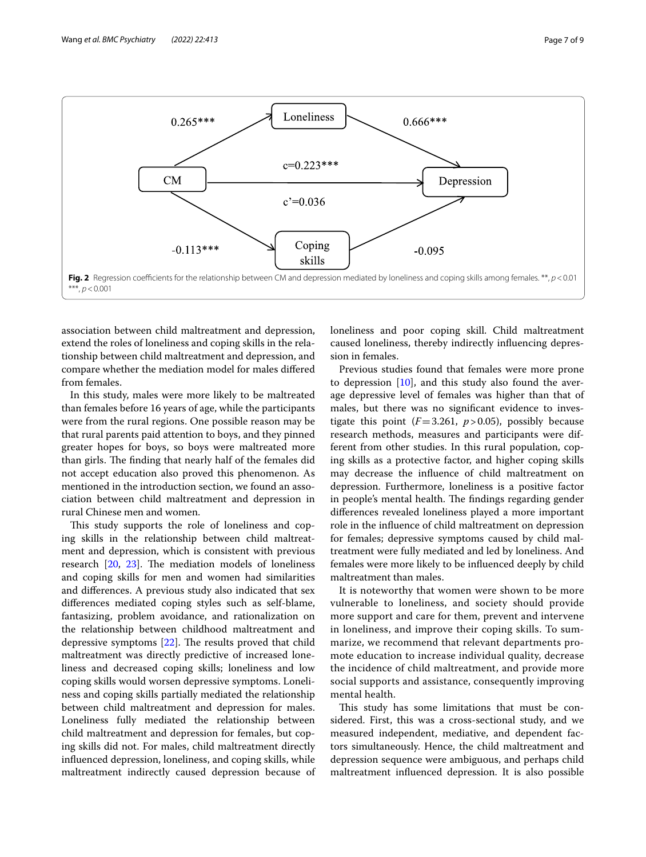

<span id="page-6-0"></span>association between child maltreatment and depression, extend the roles of loneliness and coping skills in the relationship between child maltreatment and depression, and compare whether the mediation model for males difered from females.

In this study, males were more likely to be maltreated than females before 16 years of age, while the participants were from the rural regions. One possible reason may be that rural parents paid attention to boys, and they pinned greater hopes for boys, so boys were maltreated more than girls. The finding that nearly half of the females did not accept education also proved this phenomenon. As mentioned in the introduction section, we found an association between child maltreatment and depression in rural Chinese men and women.

This study supports the role of loneliness and coping skills in the relationship between child maltreatment and depression, which is consistent with previous research  $[20, 23]$  $[20, 23]$  $[20, 23]$ . The mediation models of loneliness and coping skills for men and women had similarities and diferences. A previous study also indicated that sex diferences mediated coping styles such as self-blame, fantasizing, problem avoidance, and rationalization on the relationship between childhood maltreatment and depressive symptoms  $[22]$  $[22]$ . The results proved that child maltreatment was directly predictive of increased loneliness and decreased coping skills; loneliness and low coping skills would worsen depressive symptoms. Loneliness and coping skills partially mediated the relationship between child maltreatment and depression for males. Loneliness fully mediated the relationship between child maltreatment and depression for females, but coping skills did not. For males, child maltreatment directly infuenced depression, loneliness, and coping skills, while maltreatment indirectly caused depression because of loneliness and poor coping skill. Child maltreatment caused loneliness, thereby indirectly infuencing depression in females.

Previous studies found that females were more prone to depression [[10](#page-7-9)], and this study also found the average depressive level of females was higher than that of males, but there was no signifcant evidence to investigate this point  $(F=3.261, p>0.05)$ , possibly because research methods, measures and participants were different from other studies. In this rural population, coping skills as a protective factor, and higher coping skills may decrease the infuence of child maltreatment on depression. Furthermore, loneliness is a positive factor in people's mental health. The findings regarding gender diferences revealed loneliness played a more important role in the infuence of child maltreatment on depression for females; depressive symptoms caused by child maltreatment were fully mediated and led by loneliness. And females were more likely to be infuenced deeply by child maltreatment than males.

It is noteworthy that women were shown to be more vulnerable to loneliness, and society should provide more support and care for them, prevent and intervene in loneliness, and improve their coping skills. To summarize, we recommend that relevant departments promote education to increase individual quality, decrease the incidence of child maltreatment, and provide more social supports and assistance, consequently improving mental health.

This study has some limitations that must be considered. First, this was a cross-sectional study, and we measured independent, mediative, and dependent factors simultaneously. Hence, the child maltreatment and depression sequence were ambiguous, and perhaps child maltreatment infuenced depression. It is also possible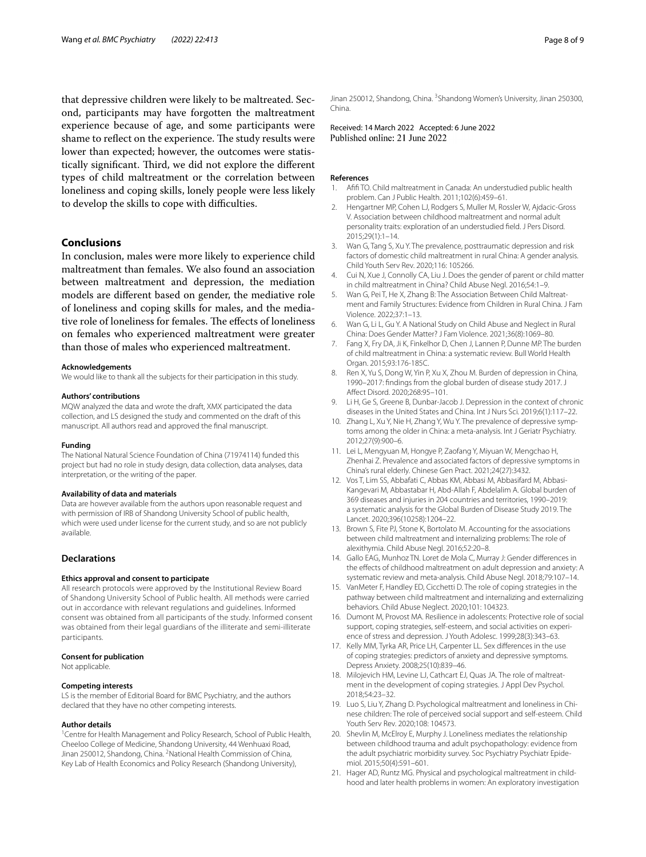that depressive children were likely to be maltreated. Second, participants may have forgotten the maltreatment experience because of age, and some participants were shame to reflect on the experience. The study results were lower than expected; however, the outcomes were statistically significant. Third, we did not explore the different types of child maltreatment or the correlation between loneliness and coping skills, lonely people were less likely to develop the skills to cope with difficulties.

### **Conclusions**

In conclusion, males were more likely to experience child maltreatment than females. We also found an association between maltreatment and depression, the mediation models are diferent based on gender, the mediative role of loneliness and coping skills for males, and the mediative role of loneliness for females. The effects of loneliness on females who experienced maltreatment were greater than those of males who experienced maltreatment.

#### **Acknowledgements**

We would like to thank all the subjects for their participation in this study.

#### **Authors' contributions**

MQW analyzed the data and wrote the draft, XMX participated the data collection, and LS designed the study and commented on the draft of this manuscript. All authors read and approved the fnal manuscript.

#### **Funding**

The National Natural Science Foundation of China (71974114) funded this project but had no role in study design, data collection, data analyses, data interpretation, or the writing of the paper.

#### **Availability of data and materials**

Data are however available from the authors upon reasonable request and with permission of IRB of Shandong University School of public health, which were used under license for the current study, and so are not publicly available.

## **Declarations**

#### **Ethics approval and consent to participate**

All research protocols were approved by the Institutional Review Board of Shandong University School of Public health. All methods were carried out in accordance with relevant regulations and guidelines. Informed consent was obtained from all participants of the study. Informed consent was obtained from their legal guardians of the illiterate and semi-illiterate participants.

#### **Consent for publication**

Not applicable.

#### **Competing interests**

LS is the member of Editorial Board for BMC Psychiatry, and the authors declared that they have no other competing interests.

#### **Author details**

<sup>1</sup> Centre for Health Management and Policy Research, School of Public Health, Cheeloo College of Medicine, Shandong University, 44 Wenhuaxi Road, Jinan 250012, Shandong, China. <sup>2</sup> National Health Commission of China, Key Lab of Health Economics and Policy Research (Shandong University),

Jinan 250012, Shandong, China. <sup>3</sup>Shandong Women's University, Jinan 250300, China.

Received: 14 March 2022 Accepted: 6 June 2022<br>Published online: 21 June 2022

#### **References**

- <span id="page-7-0"></span>Afifi TO. Child maltreatment in Canada: An understudied public health problem. Can J Public Health. 2011;102(6):459–61.
- <span id="page-7-1"></span>2. Hengartner MP, Cohen LJ, Rodgers S, Muller M, Rossler W, Ajdacic-Gross V. Association between childhood maltreatment and normal adult personality traits: exploration of an understudied feld. J Pers Disord. 2015;29(1):1–14.
- <span id="page-7-2"></span>3. Wan G, Tang S, Xu Y. The prevalence, posttraumatic depression and risk factors of domestic child maltreatment in rural China: A gender analysis. Child Youth Serv Rev. 2020;116: 105266.
- <span id="page-7-3"></span>4. Cui N, Xue J, Connolly CA, Liu J. Does the gender of parent or child matter in child maltreatment in China? Child Abuse Negl. 2016;54:1–9.
- <span id="page-7-4"></span>5. Wan G, Pei T, He X, Zhang B: The Association Between Child Maltreatment and Family Structures: Evidence from Children in Rural China. J Fam Violence. 2022;37:1–13.
- <span id="page-7-5"></span>6. Wan G, Li L, Gu Y. A National Study on Child Abuse and Neglect in Rural China: Does Gender Matter? J Fam Violence. 2021;36(8):1069–80.
- <span id="page-7-6"></span>7. Fang X, Fry DA, Ji K, Finkelhor D, Chen J, Lannen P, Dunne MP. The burden of child maltreatment in China: a systematic review. Bull World Health Organ. 2015;93:176-185C.
- <span id="page-7-7"></span>8. Ren X, Yu S, Dong W, Yin P, Xu X, Zhou M. Burden of depression in China, 1990–2017: fndings from the global burden of disease study 2017. J Afect Disord. 2020;268:95–101.
- <span id="page-7-8"></span>9. Li H, Ge S, Greene B, Dunbar-Jacob J. Depression in the context of chronic diseases in the United States and China. Int J Nurs Sci. 2019;6(1):117–22.
- <span id="page-7-9"></span>10. Zhang L, Xu Y, Nie H, Zhang Y, Wu Y. The prevalence of depressive symptoms among the older in China: a meta-analysis. Int J Geriatr Psychiatry. 2012;27(9):900–6.
- <span id="page-7-10"></span>11. Lei L, Mengyuan M, Hongye P, Zaofang Y, Miyuan W, Mengchao H, Zhenhai Z. Prevalence and associated factors of depressive symptoms in China's rural elderly. Chinese Gen Pract. 2021;24(27):3432.
- <span id="page-7-11"></span>12. Vos T, Lim SS, Abbafati C, Abbas KM, Abbasi M, Abbasifard M, Abbasi-Kangevari M, Abbastabar H, Abd-Allah F, Abdelalim A. Global burden of 369 diseases and injuries in 204 countries and territories, 1990–2019: a systematic analysis for the Global Burden of Disease Study 2019. The Lancet. 2020;396(10258):1204–22.
- <span id="page-7-12"></span>13. Brown S, Fite PJ, Stone K, Bortolato M. Accounting for the associations between child maltreatment and internalizing problems: The role of alexithymia. Child Abuse Negl. 2016;52:20–8.
- <span id="page-7-13"></span>14. Gallo EAG, Munhoz TN. Loret de Mola C, Murray J: Gender diferences in the efects of childhood maltreatment on adult depression and anxiety: A systematic review and meta-analysis. Child Abuse Negl. 2018;79:107–14.
- <span id="page-7-14"></span>15. VanMeter F, Handley ED, Cicchetti D. The role of coping strategies in the pathway between child maltreatment and internalizing and externalizing behaviors. Child Abuse Neglect. 2020;101: 104323.
- <span id="page-7-15"></span>16. Dumont M, Provost MA. Resilience in adolescents: Protective role of social support, coping strategies, self-esteem, and social activities on experience of stress and depression. J Youth Adolesc. 1999;28(3):343–63.
- <span id="page-7-16"></span>17. Kelly MM, Tyrka AR, Price LH, Carpenter LL. Sex diferences in the use of coping strategies: predictors of anxiety and depressive symptoms. Depress Anxiety. 2008;25(10):839–46.
- <span id="page-7-17"></span>18. Milojevich HM, Levine LJ, Cathcart EJ, Quas JA. The role of maltreatment in the development of coping strategies. J Appl Dev Psychol. 2018;54:23–32.
- <span id="page-7-18"></span>19. Luo S, Liu Y, Zhang D. Psychological maltreatment and loneliness in Chinese children: The role of perceived social support and self-esteem. Child Youth Serv Rev. 2020;108: 104573.
- <span id="page-7-19"></span>20. Shevlin M, McElroy E, Murphy J. Loneliness mediates the relationship between childhood trauma and adult psychopathology: evidence from the adult psychiatric morbidity survey. Soc Psychiatry Psychiatr Epidemiol. 2015;50(4):591–601.
- <span id="page-7-20"></span>21. Hager AD, Runtz MG. Physical and psychological maltreatment in childhood and later health problems in women: An exploratory investigation